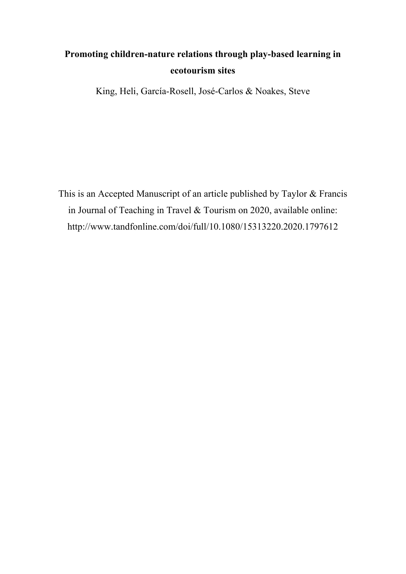# **Promoting children-nature relations through play-based learning in ecotourism sites**

King, Heli, García-Rosell, José-Carlos & Noakes, Steve

This is an Accepted Manuscript of an article published by Taylor & Francis in Journal of Teaching in Travel & Tourism on 2020, available online: http://www.tandfonline.com/doi/full/10.1080/15313220.2020.1797612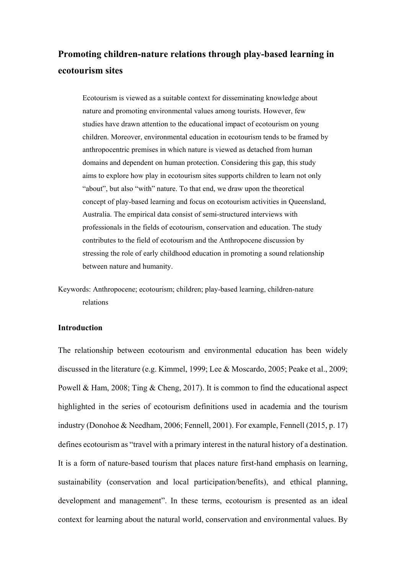## **Promoting children-nature relations through play-based learning in ecotourism sites**

Ecotourism is viewed as a suitable context for disseminating knowledge about nature and promoting environmental values among tourists. However, few studies have drawn attention to the educational impact of ecotourism on young children. Moreover, environmental education in ecotourism tends to be framed by anthropocentric premises in which nature is viewed as detached from human domains and dependent on human protection. Considering this gap, this study aims to explore how play in ecotourism sites supports children to learn not only "about", but also "with" nature. To that end, we draw upon the theoretical concept of play-based learning and focus on ecotourism activities in Queensland, Australia. The empirical data consist of semi-structured interviews with professionals in the fields of ecotourism, conservation and education. The study contributes to the field of ecotourism and the Anthropocene discussion by stressing the role of early childhood education in promoting a sound relationship between nature and humanity.

Keywords: Anthropocene; ecotourism; children; play-based learning, children-nature relations

## **Introduction**

The relationship between ecotourism and environmental education has been widely discussed in the literature (e.g. Kimmel, 1999; Lee & Moscardo, 2005; Peake et al., 2009; Powell & Ham, 2008; Ting & Cheng, 2017). It is common to find the educational aspect highlighted in the series of ecotourism definitions used in academia and the tourism industry (Donohoe & Needham, 2006; Fennell, 2001). For example, Fennell (2015, p. 17) defines ecotourism as "travel with a primary interest in the natural history of a destination. It is a form of nature-based tourism that places nature first-hand emphasis on learning, sustainability (conservation and local participation/benefits), and ethical planning, development and management". In these terms, ecotourism is presented as an ideal context for learning about the natural world, conservation and environmental values. By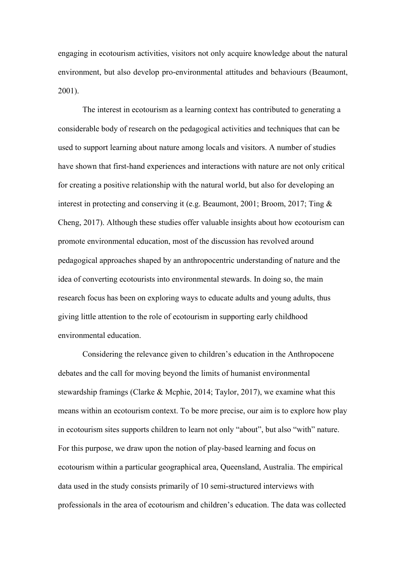engaging in ecotourism activities, visitors not only acquire knowledge about the natural environment, but also develop pro-environmental attitudes and behaviours (Beaumont, 2001).

The interest in ecotourism as a learning context has contributed to generating a considerable body of research on the pedagogical activities and techniques that can be used to support learning about nature among locals and visitors. A number of studies have shown that first-hand experiences and interactions with nature are not only critical for creating a positive relationship with the natural world, but also for developing an interest in protecting and conserving it (e.g. Beaumont, 2001; Broom, 2017; Ting & Cheng, 2017). Although these studies offer valuable insights about how ecotourism can promote environmental education, most of the discussion has revolved around pedagogical approaches shaped by an anthropocentric understanding of nature and the idea of converting ecotourists into environmental stewards. In doing so, the main research focus has been on exploring ways to educate adults and young adults, thus giving little attention to the role of ecotourism in supporting early childhood environmental education.

Considering the relevance given to children's education in the Anthropocene debates and the call for moving beyond the limits of humanist environmental stewardship framings (Clarke & Mcphie, 2014; Taylor, 2017), we examine what this means within an ecotourism context. To be more precise, our aim is to explore how play in ecotourism sites supports children to learn not only "about", but also "with" nature. For this purpose, we draw upon the notion of play-based learning and focus on ecotourism within a particular geographical area, Queensland, Australia. The empirical data used in the study consists primarily of 10 semi-structured interviews with professionals in the area of ecotourism and children's education. The data was collected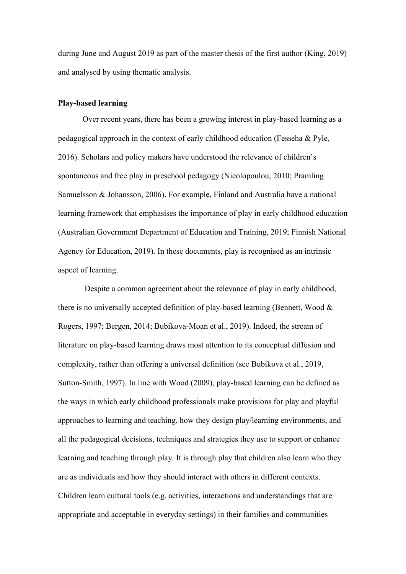during June and August 2019 as part of the master thesis of the first author (King, 2019) and analysed by using thematic analysis.

## **Play-based learning**

Over recent years, there has been a growing interest in play-based learning as a pedagogical approach in the context of early childhood education (Fesseha & Pyle, 2016). Scholars and policy makers have understood the relevance of children's spontaneous and free play in preschool pedagogy (Nicolopoulou, 2010; Pramling Samuelsson & Johansson, 2006). For example, Finland and Australia have a national learning framework that emphasises the importance of play in early childhood education (Australian Government Department of Education and Training, 2019; Finnish National Agency for Education, 2019). In these documents, play is recognised as an intrinsic aspect of learning.

Despite a common agreement about the relevance of play in early childhood, there is no universally accepted definition of play-based learning (Bennett, Wood & Rogers, 1997; Bergen, 2014; Bubikova-Moan et al., 2019). Indeed, the stream of literature on play-based learning draws most attention to its conceptual diffusion and complexity, rather than offering a universal definition (see Bubikova et al., 2019, Sutton-Smith, 1997). In line with Wood (2009), play-based learning can be defined as the ways in which early childhood professionals make provisions for play and playful approaches to learning and teaching, how they design play/learning environments, and all the pedagogical decisions, techniques and strategies they use to support or enhance learning and teaching through play. It is through play that children also learn who they are as individuals and how they should interact with others in different contexts. Children learn cultural tools (e.g. activities, interactions and understandings that are appropriate and acceptable in everyday settings) in their families and communities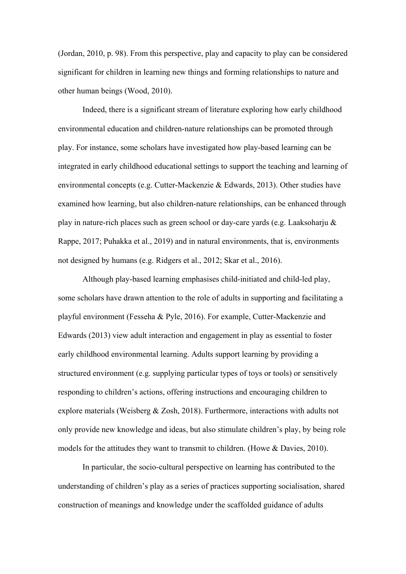(Jordan, 2010, p. 98). From this perspective, play and capacity to play can be considered significant for children in learning new things and forming relationships to nature and other human beings (Wood, 2010).

Indeed, there is a significant stream of literature exploring how early childhood environmental education and children-nature relationships can be promoted through play. For instance, some scholars have investigated how play-based learning can be integrated in early childhood educational settings to support the teaching and learning of environmental concepts (e.g. Cutter-Mackenzie & Edwards, 2013). Other studies have examined how learning, but also children-nature relationships, can be enhanced through play in nature-rich places such as green school or day-care yards (e.g. Laaksoharju & Rappe, 2017; Puhakka et al., 2019) and in natural environments, that is, environments not designed by humans (e.g. Ridgers et al., 2012; Skar et al., 2016).

Although play-based learning emphasises child-initiated and child-led play, some scholars have drawn attention to the role of adults in supporting and facilitating a playful environment (Fesseha & Pyle, 2016). For example, Cutter-Mackenzie and Edwards (2013) view adult interaction and engagement in play as essential to foster early childhood environmental learning. Adults support learning by providing a structured environment (e.g. supplying particular types of toys or tools) or sensitively responding to children's actions, offering instructions and encouraging children to explore materials (Weisberg & Zosh, 2018). Furthermore, interactions with adults not only provide new knowledge and ideas, but also stimulate children's play, by being role models for the attitudes they want to transmit to children. (Howe & Davies, 2010).

In particular, the socio-cultural perspective on learning has contributed to the understanding of children's play as a series of practices supporting socialisation, shared construction of meanings and knowledge under the scaffolded guidance of adults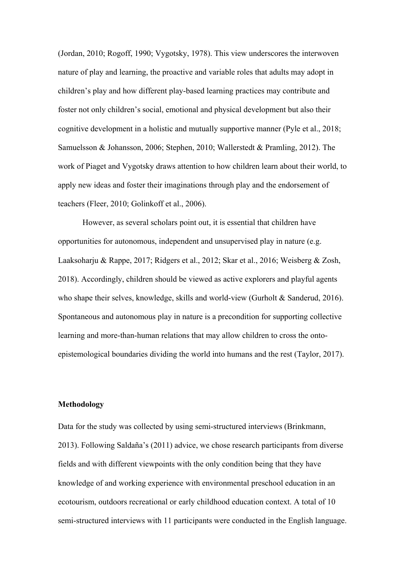(Jordan, 2010; Rogoff, 1990; Vygotsky, 1978). This view underscores the interwoven nature of play and learning, the proactive and variable roles that adults may adopt in children's play and how different play-based learning practices may contribute and foster not only children's social, emotional and physical development but also their cognitive development in a holistic and mutually supportive manner (Pyle et al., 2018; Samuelsson & Johansson, 2006; Stephen, 2010; Wallerstedt & Pramling, 2012). The work of Piaget and Vygotsky draws attention to how children learn about their world, to apply new ideas and foster their imaginations through play and the endorsement of teachers (Fleer, 2010; Golinkoff et al., 2006).

However, as several scholars point out, it is essential that children have opportunities for autonomous, independent and unsupervised play in nature (e.g. Laaksoharju & Rappe, 2017; Ridgers et al., 2012; Skar et al., 2016; Weisberg & Zosh, 2018). Accordingly, children should be viewed as active explorers and playful agents who shape their selves, knowledge, skills and world-view (Gurholt & Sanderud, 2016). Spontaneous and autonomous play in nature is a precondition for supporting collective learning and more-than-human relations that may allow children to cross the ontoepistemological boundaries dividing the world into humans and the rest (Taylor, 2017).

## **Methodology**

Data for the study was collected by using semi-structured interviews (Brinkmann, 2013). Following Saldaña's (2011) advice, we chose research participants from diverse fields and with different viewpoints with the only condition being that they have knowledge of and working experience with environmental preschool education in an ecotourism, outdoors recreational or early childhood education context. A total of 10 semi-structured interviews with 11 participants were conducted in the English language.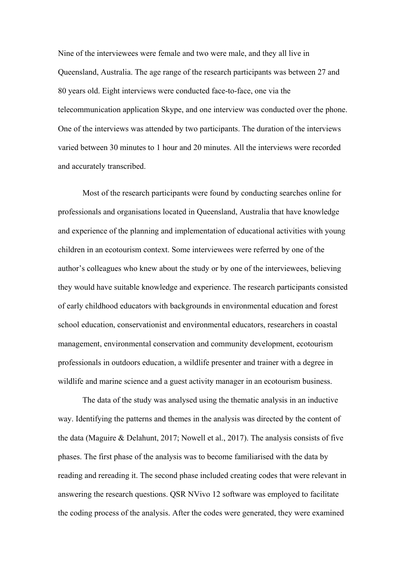Nine of the interviewees were female and two were male, and they all live in Queensland, Australia. The age range of the research participants was between 27 and 80 years old. Eight interviews were conducted face-to-face, one via the telecommunication application Skype, and one interview was conducted over the phone. One of the interviews was attended by two participants. The duration of the interviews varied between 30 minutes to 1 hour and 20 minutes. All the interviews were recorded and accurately transcribed.

Most of the research participants were found by conducting searches online for professionals and organisations located in Queensland, Australia that have knowledge and experience of the planning and implementation of educational activities with young children in an ecotourism context. Some interviewees were referred by one of the author's colleagues who knew about the study or by one of the interviewees, believing they would have suitable knowledge and experience. The research participants consisted of early childhood educators with backgrounds in environmental education and forest school education, conservationist and environmental educators, researchers in coastal management, environmental conservation and community development, ecotourism professionals in outdoors education, a wildlife presenter and trainer with a degree in wildlife and marine science and a guest activity manager in an ecotourism business.

The data of the study was analysed using the thematic analysis in an inductive way. Identifying the patterns and themes in the analysis was directed by the content of the data (Maguire & Delahunt, 2017; Nowell et al., 2017). The analysis consists of five phases. The first phase of the analysis was to become familiarised with the data by reading and rereading it. The second phase included creating codes that were relevant in answering the research questions. QSR NVivo 12 software was employed to facilitate the coding process of the analysis. After the codes were generated, they were examined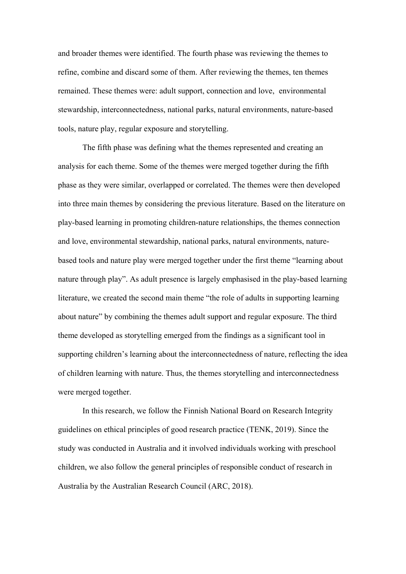and broader themes were identified. The fourth phase was reviewing the themes to refine, combine and discard some of them. After reviewing the themes, ten themes remained. These themes were: adult support, connection and love, environmental stewardship, interconnectedness, national parks, natural environments, nature-based tools, nature play, regular exposure and storytelling.

The fifth phase was defining what the themes represented and creating an analysis for each theme. Some of the themes were merged together during the fifth phase as they were similar, overlapped or correlated. The themes were then developed into three main themes by considering the previous literature. Based on the literature on play-based learning in promoting children-nature relationships, the themes connection and love, environmental stewardship, national parks, natural environments, naturebased tools and nature play were merged together under the first theme "learning about nature through play". As adult presence is largely emphasised in the play-based learning literature, we created the second main theme "the role of adults in supporting learning about nature" by combining the themes adult support and regular exposure. The third theme developed as storytelling emerged from the findings as a significant tool in supporting children's learning about the interconnectedness of nature, reflecting the idea of children learning with nature. Thus, the themes storytelling and interconnectedness were merged together.

In this research, we follow the Finnish National Board on Research Integrity guidelines on ethical principles of good research practice (TENK, 2019). Since the study was conducted in Australia and it involved individuals working with preschool children, we also follow the general principles of responsible conduct of research in Australia by the Australian Research Council (ARC, 2018).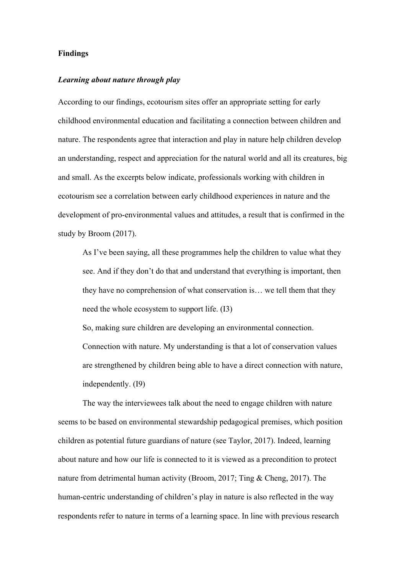#### **Findings**

## *Learning about nature through play*

According to our findings, ecotourism sites offer an appropriate setting for early childhood environmental education and facilitating a connection between children and nature. The respondents agree that interaction and play in nature help children develop an understanding, respect and appreciation for the natural world and all its creatures, big and small. As the excerpts below indicate, professionals working with children in ecotourism see a correlation between early childhood experiences in nature and the development of pro-environmental values and attitudes, a result that is confirmed in the study by Broom (2017).

As I've been saying, all these programmes help the children to value what they see. And if they don't do that and understand that everything is important, then they have no comprehension of what conservation is… we tell them that they need the whole ecosystem to support life. (I3)

So, making sure children are developing an environmental connection. Connection with nature. My understanding is that a lot of conservation values are strengthened by children being able to have a direct connection with nature, independently. (I9)

The way the interviewees talk about the need to engage children with nature seems to be based on environmental stewardship pedagogical premises, which position children as potential future guardians of nature (see Taylor, 2017). Indeed, learning about nature and how our life is connected to it is viewed as a precondition to protect nature from detrimental human activity (Broom, 2017; Ting & Cheng, 2017). The human-centric understanding of children's play in nature is also reflected in the way respondents refer to nature in terms of a learning space. In line with previous research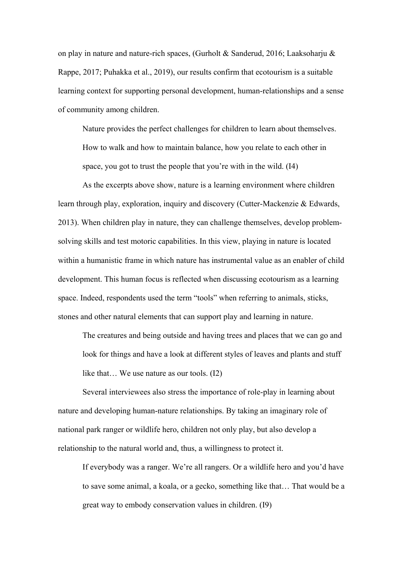on play in nature and nature-rich spaces, (Gurholt & Sanderud, 2016; Laaksoharju & Rappe, 2017; Puhakka et al., 2019), our results confirm that ecotourism is a suitable learning context for supporting personal development, human-relationships and a sense of community among children.

Nature provides the perfect challenges for children to learn about themselves. How to walk and how to maintain balance, how you relate to each other in space, you got to trust the people that you're with in the wild. (I4)

As the excerpts above show, nature is a learning environment where children learn through play, exploration, inquiry and discovery (Cutter-Mackenzie & Edwards, 2013). When children play in nature, they can challenge themselves, develop problemsolving skills and test motoric capabilities. In this view, playing in nature is located within a humanistic frame in which nature has instrumental value as an enabler of child development. This human focus is reflected when discussing ecotourism as a learning space. Indeed, respondents used the term "tools" when referring to animals, sticks, stones and other natural elements that can support play and learning in nature.

The creatures and being outside and having trees and places that we can go and look for things and have a look at different styles of leaves and plants and stuff like that… We use nature as our tools. (I2)

Several interviewees also stress the importance of role-play in learning about nature and developing human-nature relationships. By taking an imaginary role of national park ranger or wildlife hero, children not only play, but also develop a relationship to the natural world and, thus, a willingness to protect it.

If everybody was a ranger. We're all rangers. Or a wildlife hero and you'd have to save some animal, a koala, or a gecko, something like that… That would be a great way to embody conservation values in children. (I9)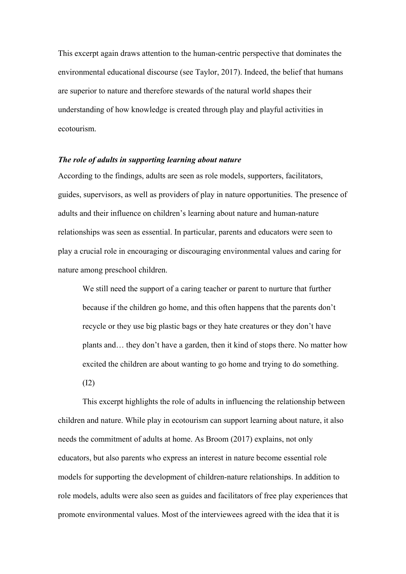This excerpt again draws attention to the human-centric perspective that dominates the environmental educational discourse (see Taylor, 2017). Indeed, the belief that humans are superior to nature and therefore stewards of the natural world shapes their understanding of how knowledge is created through play and playful activities in ecotourism.

## *The role of adults in supporting learning about nature*

According to the findings, adults are seen as role models, supporters, facilitators, guides, supervisors, as well as providers of play in nature opportunities. The presence of adults and their influence on children's learning about nature and human-nature relationships was seen as essential. In particular, parents and educators were seen to play a crucial role in encouraging or discouraging environmental values and caring for nature among preschool children.

We still need the support of a caring teacher or parent to nurture that further because if the children go home, and this often happens that the parents don't recycle or they use big plastic bags or they hate creatures or they don't have plants and… they don't have a garden, then it kind of stops there. No matter how excited the children are about wanting to go home and trying to do something. (I2)

This excerpt highlights the role of adults in influencing the relationship between children and nature. While play in ecotourism can support learning about nature, it also needs the commitment of adults at home. As Broom (2017) explains, not only educators, but also parents who express an interest in nature become essential role models for supporting the development of children-nature relationships. In addition to role models, adults were also seen as guides and facilitators of free play experiences that promote environmental values. Most of the interviewees agreed with the idea that it is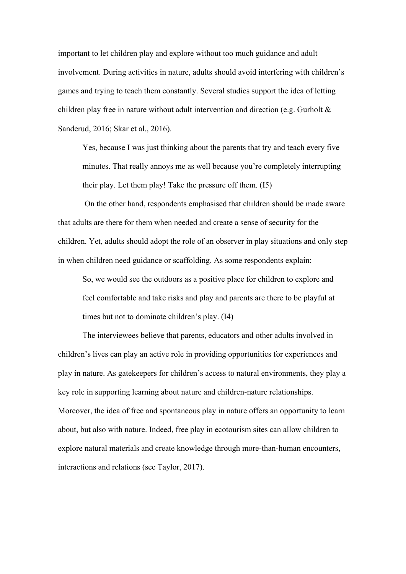important to let children play and explore without too much guidance and adult involvement. During activities in nature, adults should avoid interfering with children's games and trying to teach them constantly. Several studies support the idea of letting children play free in nature without adult intervention and direction (e.g. Gurholt & Sanderud, 2016; Skar et al., 2016).

Yes, because I was just thinking about the parents that try and teach every five minutes. That really annoys me as well because you're completely interrupting their play. Let them play! Take the pressure off them. (I5)

On the other hand, respondents emphasised that children should be made aware that adults are there for them when needed and create a sense of security for the children. Yet, adults should adopt the role of an observer in play situations and only step in when children need guidance or scaffolding. As some respondents explain:

So, we would see the outdoors as a positive place for children to explore and feel comfortable and take risks and play and parents are there to be playful at times but not to dominate children's play. (I4)

The interviewees believe that parents, educators and other adults involved in children's lives can play an active role in providing opportunities for experiences and play in nature. As gatekeepers for children's access to natural environments, they play a key role in supporting learning about nature and children-nature relationships. Moreover, the idea of free and spontaneous play in nature offers an opportunity to learn about, but also with nature. Indeed, free play in ecotourism sites can allow children to explore natural materials and create knowledge through more-than-human encounters, interactions and relations (see Taylor, 2017).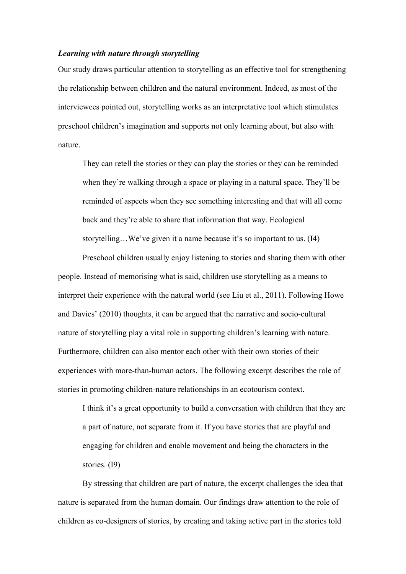### *Learning with nature through storytelling*

Our study draws particular attention to storytelling as an effective tool for strengthening the relationship between children and the natural environment. Indeed, as most of the interviewees pointed out, storytelling works as an interpretative tool which stimulates preschool children's imagination and supports not only learning about, but also with nature.

They can retell the stories or they can play the stories or they can be reminded when they're walking through a space or playing in a natural space. They'll be reminded of aspects when they see something interesting and that will all come back and they're able to share that information that way. Ecological storytelling…We've given it a name because it's so important to us. (I4)

Preschool children usually enjoy listening to stories and sharing them with other people. Instead of memorising what is said, children use storytelling as a means to interpret their experience with the natural world (see Liu et al., 2011). Following Howe and Davies' (2010) thoughts, it can be argued that the narrative and socio-cultural nature of storytelling play a vital role in supporting children's learning with nature. Furthermore, children can also mentor each other with their own stories of their experiences with more-than-human actors. The following excerpt describes the role of stories in promoting children-nature relationships in an ecotourism context.

I think it's a great opportunity to build a conversation with children that they are a part of nature, not separate from it. If you have stories that are playful and engaging for children and enable movement and being the characters in the stories. (I9)

By stressing that children are part of nature, the excerpt challenges the idea that nature is separated from the human domain. Our findings draw attention to the role of children as co-designers of stories, by creating and taking active part in the stories told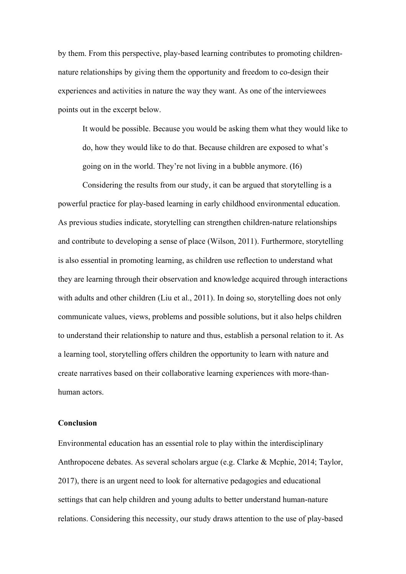by them. From this perspective, play-based learning contributes to promoting childrennature relationships by giving them the opportunity and freedom to co-design their experiences and activities in nature the way they want. As one of the interviewees points out in the excerpt below.

It would be possible. Because you would be asking them what they would like to do, how they would like to do that. Because children are exposed to what's going on in the world. They're not living in a bubble anymore. (I6)

Considering the results from our study, it can be argued that storytelling is a powerful practice for play-based learning in early childhood environmental education. As previous studies indicate, storytelling can strengthen children-nature relationships and contribute to developing a sense of place (Wilson, 2011). Furthermore, storytelling is also essential in promoting learning, as children use reflection to understand what they are learning through their observation and knowledge acquired through interactions with adults and other children (Liu et al., 2011). In doing so, storytelling does not only communicate values, views, problems and possible solutions, but it also helps children to understand their relationship to nature and thus, establish a personal relation to it. As a learning tool, storytelling offers children the opportunity to learn with nature and create narratives based on their collaborative learning experiences with more-thanhuman actors.

## **Conclusion**

Environmental education has an essential role to play within the interdisciplinary Anthropocene debates. As several scholars argue (e.g. Clarke & Mcphie, 2014; Taylor, 2017), there is an urgent need to look for alternative pedagogies and educational settings that can help children and young adults to better understand human-nature relations. Considering this necessity, our study draws attention to the use of play-based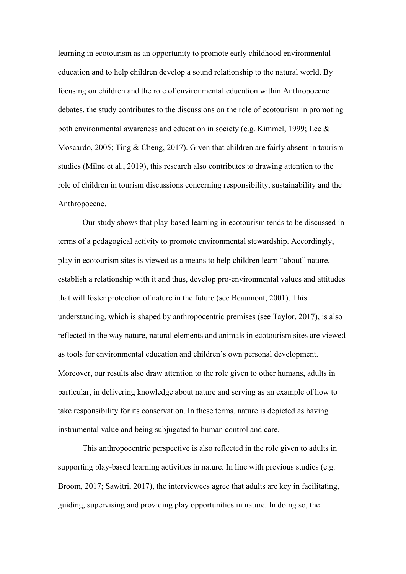learning in ecotourism as an opportunity to promote early childhood environmental education and to help children develop a sound relationship to the natural world. By focusing on children and the role of environmental education within Anthropocene debates, the study contributes to the discussions on the role of ecotourism in promoting both environmental awareness and education in society (e.g. Kimmel, 1999; Lee & Moscardo, 2005; Ting & Cheng, 2017). Given that children are fairly absent in tourism studies (Milne et al., 2019), this research also contributes to drawing attention to the role of children in tourism discussions concerning responsibility, sustainability and the Anthropocene.

Our study shows that play-based learning in ecotourism tends to be discussed in terms of a pedagogical activity to promote environmental stewardship. Accordingly, play in ecotourism sites is viewed as a means to help children learn "about" nature, establish a relationship with it and thus, develop pro-environmental values and attitudes that will foster protection of nature in the future (see Beaumont, 2001). This understanding, which is shaped by anthropocentric premises (see Taylor, 2017), is also reflected in the way nature, natural elements and animals in ecotourism sites are viewed as tools for environmental education and children's own personal development. Moreover, our results also draw attention to the role given to other humans, adults in particular, in delivering knowledge about nature and serving as an example of how to take responsibility for its conservation. In these terms, nature is depicted as having instrumental value and being subjugated to human control and care.

This anthropocentric perspective is also reflected in the role given to adults in supporting play-based learning activities in nature. In line with previous studies (e.g. Broom, 2017; Sawitri, 2017), the interviewees agree that adults are key in facilitating, guiding, supervising and providing play opportunities in nature. In doing so, the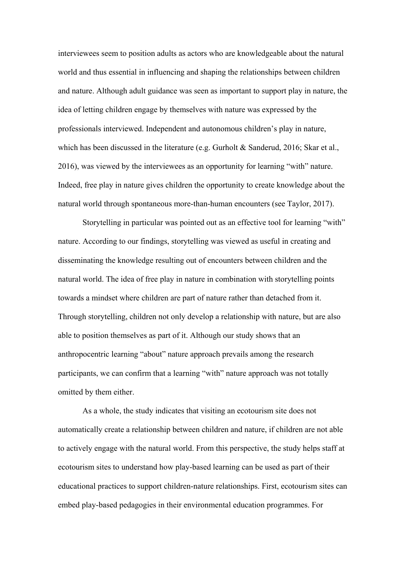interviewees seem to position adults as actors who are knowledgeable about the natural world and thus essential in influencing and shaping the relationships between children and nature. Although adult guidance was seen as important to support play in nature, the idea of letting children engage by themselves with nature was expressed by the professionals interviewed. Independent and autonomous children's play in nature, which has been discussed in the literature (e.g. Gurholt & Sanderud, 2016; Skar et al., 2016), was viewed by the interviewees as an opportunity for learning "with" nature. Indeed, free play in nature gives children the opportunity to create knowledge about the natural world through spontaneous more-than-human encounters (see Taylor, 2017).

Storytelling in particular was pointed out as an effective tool for learning "with" nature. According to our findings, storytelling was viewed as useful in creating and disseminating the knowledge resulting out of encounters between children and the natural world. The idea of free play in nature in combination with storytelling points towards a mindset where children are part of nature rather than detached from it. Through storytelling, children not only develop a relationship with nature, but are also able to position themselves as part of it. Although our study shows that an anthropocentric learning "about" nature approach prevails among the research participants, we can confirm that a learning "with" nature approach was not totally omitted by them either.

As a whole, the study indicates that visiting an ecotourism site does not automatically create a relationship between children and nature, if children are not able to actively engage with the natural world. From this perspective, the study helps staff at ecotourism sites to understand how play-based learning can be used as part of their educational practices to support children-nature relationships. First, ecotourism sites can embed play-based pedagogies in their environmental education programmes. For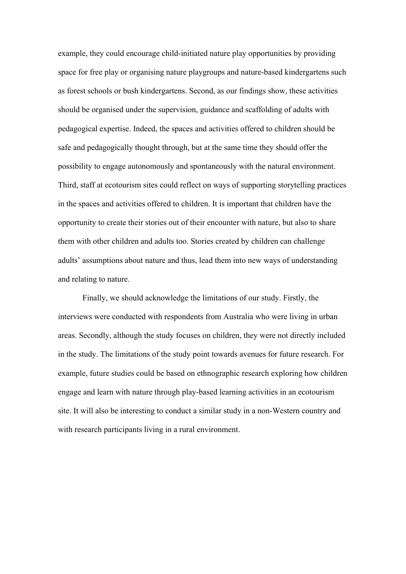example, they could encourage child-initiated nature play opportunities by providing space for free play or organising nature playgroups and nature-based kindergartens such as forest schools or bush kindergartens. Second, as our findings show, these activities should be organised under the supervision, guidance and scaffolding of adults with pedagogical expertise. Indeed, the spaces and activities offered to children should be safe and pedagogically thought through, but at the same time they should offer the possibility to engage autonomously and spontaneously with the natural environment. Third, staff at ecotourism sites could reflect on ways of supporting storytelling practices in the spaces and activities offered to children. It is important that children have the opportunity to create their stories out of their encounter with nature, but also to share them with other children and adults too. Stories created by children can challenge adults' assumptions about nature and thus, lead them into new ways of understanding and relating to nature.

Finally, we should acknowledge the limitations of our study. Firstly, the interviews were conducted with respondents from Australia who were living in urban areas. Secondly, although the study focuses on children, they were not directly included in the study. The limitations of the study point towards avenues for future research. For example, future studies could be based on ethnographic research exploring how children engage and learn with nature through play-based learning activities in an ecotourism site. It will also be interesting to conduct a similar study in a non-Western country and with research participants living in a rural environment.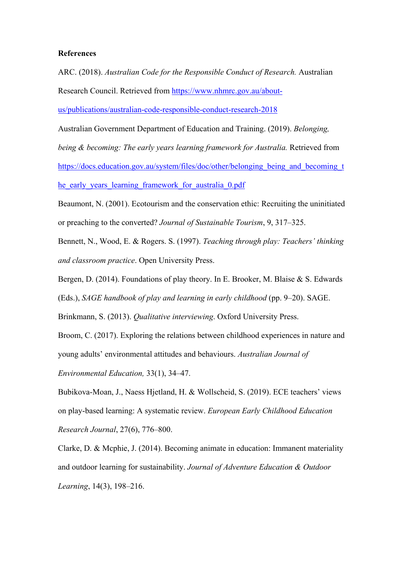### **References**

ARC. (2018). *Australian Code for the Responsible Conduct of Research.* Australian Research Council. Retrieved from [https://www.nhmrc.gov.au/about](https://www.nhmrc.gov.au/about-us/publications/australian-code-responsible-conduct-research-2018)[us/publications/australian-code-responsible-conduct-research-2018](https://www.nhmrc.gov.au/about-us/publications/australian-code-responsible-conduct-research-2018)

Australian Government Department of Education and Training. (2019). *Belonging, being & becoming: The early years learning framework for Australia.* Retrieved from https://docs.education.gov.au/system/files/doc/other/belonging being and becoming t [he\\_early\\_years\\_learning\\_framework\\_for\\_australia\\_0.pdf](https://docs.education.gov.au/system/files/doc/other/belonging_being_and_becoming_the_early_years_learning_framework_for_australia_0.pdf)

Beaumont, N. (2001). Ecotourism and the conservation ethic: Recruiting the uninitiated or preaching to the converted? *Journal of Sustainable Tourism*, 9, 317–325.

Bennett, N., Wood, E. & Rogers. S. (1997). *Teaching through play: Teachers' thinking and classroom practice*. Open University Press.

Bergen, D. (2014). Foundations of play theory. In E. Brooker, M. Blaise & S. Edwards

(Eds.), *SAGE handbook of play and learning in early childhood* (pp. 9–20). SAGE.

Brinkmann, S. (2013). *Qualitative interviewing*. Oxford University Press.

Broom, C. (2017). Exploring the relations between childhood experiences in nature and young adults' environmental attitudes and behaviours. *Australian Journal of* 

*Environmental Education,* 33(1), 34–47.

Bubikova-Moan, J., Naess Hjetland, H. & Wollscheid, S. (2019). ECE teachers' views on play-based learning: A systematic review. *European Early Childhood Education Research Journal*, 27(6), 776–800.

Clarke, D. & Mcphie, J. (2014). Becoming animate in education: Immanent materiality and outdoor learning for sustainability. *Journal of Adventure Education & Outdoor Learning*, 14(3), 198–216.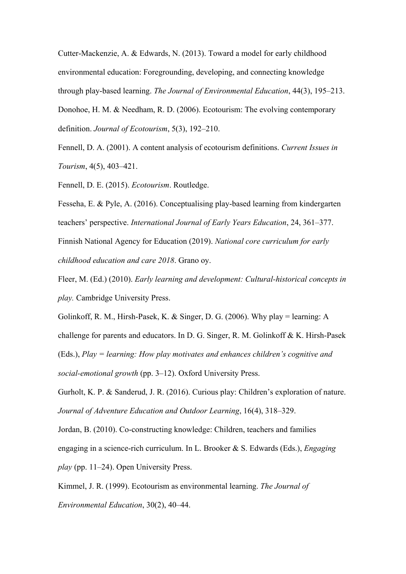Cutter-Mackenzie, A. & Edwards, N. (2013). Toward a model for early childhood environmental education: Foregrounding, developing, and connecting knowledge through play-based learning. *The Journal of Environmental Education*, 44(3), 195–213.

Donohoe, H. M. & Needham, R. D. (2006). Ecotourism: The evolving contemporary definition. *Journal of Ecotourism*, 5(3), 192–210.

Fennell, D. A. (2001). A content analysis of ecotourism definitions. *Current Issues in Tourism*, 4(5), 403–421.

Fennell, D. E. (2015). *Ecotourism*. Routledge.

Fesseha, E. & Pyle, A. (2016). Conceptualising play-based learning from kindergarten teachers' perspective. *International Journal of Early Years Education*, 24, 361–377. Finnish National Agency for Education (2019). *National core curriculum for early childhood education and care 2018*. Grano oy.

Fleer, M. (Ed.) (2010). *Early learning and development: Cultural-historical concepts in play.* Cambridge University Press.

Golinkoff, R. M., Hirsh-Pasek, K. & Singer, D. G. (2006). Why play = learning: A challenge for parents and educators. In D. G. Singer, R. M. Golinkoff & K. Hirsh-Pasek (Eds.), *Play = learning: How play motivates and enhances children's cognitive and social-emotional growth* (pp. 3–12). Oxford University Press.

Gurholt, K. P. & Sanderud, J. R. (2016). Curious play: Children's exploration of nature. *Journal of Adventure Education and Outdoor Learning*, 16(4), 318–329.

Jordan, B. (2010). Co-constructing knowledge: Children, teachers and families engaging in a science-rich curriculum. In L. Brooker & S. Edwards (Eds.), *Engaging play* (pp. 11–24). Open University Press.

Kimmel, J. R. (1999). Ecotourism as environmental learning. *The Journal of* 

*Environmental Education*, 30(2), 40–44.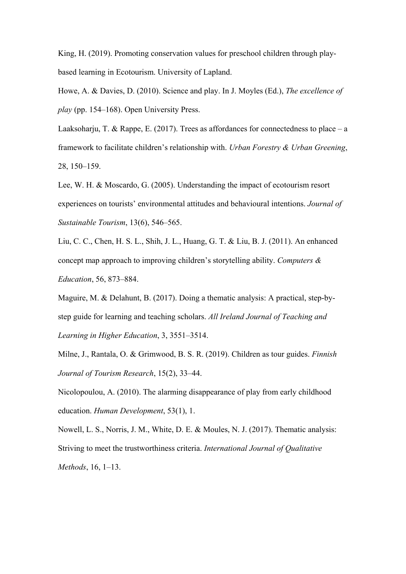King, H. (2019). Promoting conservation values for preschool children through playbased learning in Ecotourism. University of Lapland.

Howe, A. & Davies, D. (2010). Science and play. In J. Moyles (Ed.), *The excellence of play* (pp. 154–168). Open University Press.

Laaksoharju, T. & Rappe, E. (2017). Trees as affordances for connectedness to place  $-$  a framework to facilitate children's relationship with. *Urban Forestry & Urban Greening*, 28, 150–159.

Lee, W. H. & Moscardo, G. (2005). Understanding the impact of ecotourism resort experiences on tourists' environmental attitudes and behavioural intentions. *Journal of Sustainable Tourism*, 13(6), 546–565.

Liu, C. C., Chen, H. S. L., Shih, J. L., Huang, G. T. & Liu, B. J. (2011). An enhanced concept map approach to improving children's storytelling ability. *Computers & Education*, 56, 873–884.

Maguire, M. & Delahunt, B. (2017). Doing a thematic analysis: A practical, step-bystep guide for learning and teaching scholars. *All Ireland Journal of Teaching and Learning in Higher Education*, 3, 3551–3514.

Milne, J., Rantala, O. & Grimwood, B. S. R. (2019). Children as tour guides. *Finnish Journal of Tourism Research*, 15(2), 33–44.

Nicolopoulou, A. (2010). The alarming disappearance of play from early childhood education. *Human Development*, 53(1), 1.

Nowell, L. S., Norris, J. M., White, D. E. & Moules, N. J. (2017). Thematic analysis: Striving to meet the trustworthiness criteria. *International Journal of Qualitative Methods*, 16, 1–13.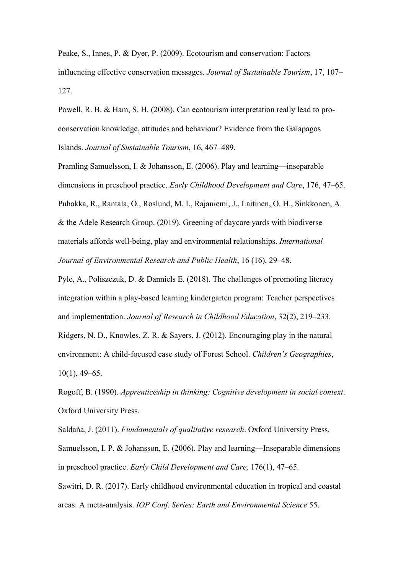Peake, S., Innes, P. & Dyer, P. (2009). Ecotourism and conservation: Factors influencing effective conservation messages. *Journal of Sustainable Tourism*, 17, 107– 127.

Powell, R. B. & Ham, S. H. (2008). Can ecotourism interpretation really lead to proconservation knowledge, attitudes and behaviour? Evidence from the Galapagos Islands. *Journal of Sustainable Tourism*, 16, 467–489.

Pramling Samuelsson, I. & Johansson, E. (2006). Play and learning—inseparable dimensions in preschool practice. *Early Childhood Development and Care*, 176, 47–65. Puhakka, R., Rantala, O., Roslund, M. I., Rajaniemi, J., Laitinen, O. H., Sinkkonen, A. & the Adele Research Group. (2019). Greening of daycare yards with biodiverse materials affords well-being, play and environmental relationships. *International Journal of Environmental Research and Public Health*, 16 (16), 29–48.

Pyle, A., Poliszczuk, D. & Danniels E. (2018). The challenges of promoting literacy integration within a play-based learning kindergarten program: Teacher perspectives and implementation. *Journal of Research in Childhood Education*, 32(2), 219–233.

Ridgers, N. D., Knowles, Z. R. & Sayers, J. (2012). Encouraging play in the natural environment: A child-focused case study of Forest School. *Children's Geographies*, 10(1), 49–65.

Rogoff, B. (1990). *Apprenticeship in thinking: Cognitive development in social context*. Oxford University Press.

Saldaña, J. (2011). *Fundamentals of qualitative research*. Oxford University Press. Samuelsson, I. P. & Johansson, E. (2006). Play and learning—Inseparable dimensions in preschool practice. *Early Child Development and Care,* 176(1), 47–65.

Sawitri, D. R. (2017). Early childhood environmental education in tropical and coastal areas: A meta-analysis. *IOP Conf. Series: Earth and Environmental Science* 55.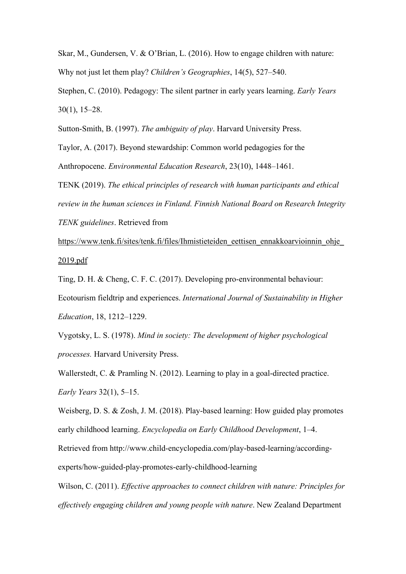Skar, M., Gundersen, V. & O'Brian, L. (2016). How to engage children with nature: Why not just let them play? *Children's Geographies*, 14(5), 527–540.

Stephen, C. (2010). Pedagogy: The silent partner in early years learning. *Early Years* 30(1), 15–28.

Sutton-Smith, B. (1997). *The ambiguity of play*. Harvard University Press.

Taylor, A. (2017). Beyond stewardship: Common world pedagogies for the Anthropocene. *Environmental Education Research*, 23(10), 1448–1461.

TENK (2019). *The ethical principles of research with human participants and ethical review in the human sciences in Finland. Finnish National Board on Research Integrity TENK guidelines*. Retrieved from

https://www.tenk.fi/sites/tenk.fi/files/Ihmistieteiden eettisen ennakkoarvioinnin ohje [2019.pdf](https://www.tenk.fi/sites/tenk.fi/files/Ihmistieteiden_eettisen_ennakkoarvioinnin_ohje_2019.pdf)

Ting, D. H. & Cheng, C. F. C. (2017). Developing pro-environmental behaviour: Ecotourism fieldtrip and experiences. *International Journal of Sustainability in Higher Education*, 18, 1212–1229.

Vygotsky, L. S. (1978). *Mind in society: The development of higher psychological processes.* Harvard University Press.

Wallerstedt, C. & Pramling N. (2012). Learning to play in a goal-directed practice. *Early Years* 32(1), 5–15.

Weisberg, D. S. & Zosh, J. M. (2018). Play-based learning: How guided play promotes early childhood learning. *Encyclopedia on Early Childhood Development*, 1–4. Retrieved from http://www.child-encyclopedia.com/play-based-learning/accordingexperts/how-guided-play-promotes-early-childhood-learning

Wilson, C. (2011). *Effective approaches to connect children with nature: Principles for effectively engaging children and young people with nature*. New Zealand Department